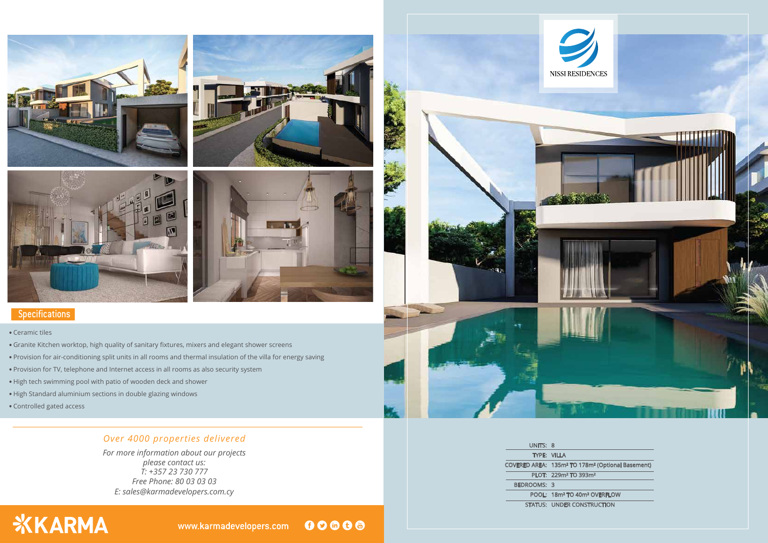

### **Specifications**

*E: sales@karmadevelopers.com.cy For more information about our projects please contact us: T: +357 23 730 777 Free Phone: 80 03 03 03*

# **XKARMA**

00000 www.karmadevelopers.com



## *Over 4000 properties delivered*

#### . Ceramic tiles

- . Granite Kitchen worktop, high quality of sanitary fixtures, mixers and elegant shower screens
- . Provision for air-conditioning split units in all rooms and thermal insulation of the villa for energy saving
- . Provision for TV, telephone and Internet access in all rooms as also security system
- . High tech swimming pool with patio of wooden deck and shower
- . High Standard aluminium sections in double glazing windows
- . Controlled gated access

| UNITS: 8                           |                             |
|------------------------------------|-----------------------------|
|                                    | <b>TYPE: VILLA</b>          |
| COVERED AREA: 135m <sup>2</sup> TO |                             |
|                                    | PLOT: 229m <sup>2</sup> TO  |
| <b>BEDROOMS: 3</b>                 |                             |
|                                    | POOL: 18m <sup>2</sup> TO 4 |
|                                    | <b>STATUS: UNDER CO</b>     |
|                                    |                             |

178m<sup>2</sup> (Optional Basement) 393m<sup>2</sup>

10m<sup>2</sup> OVERFLOW

**ONSTRUCTION**